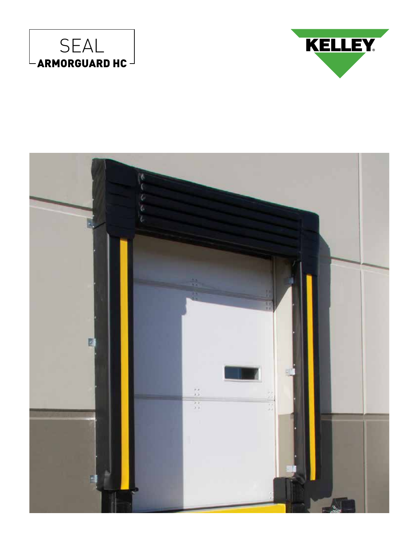